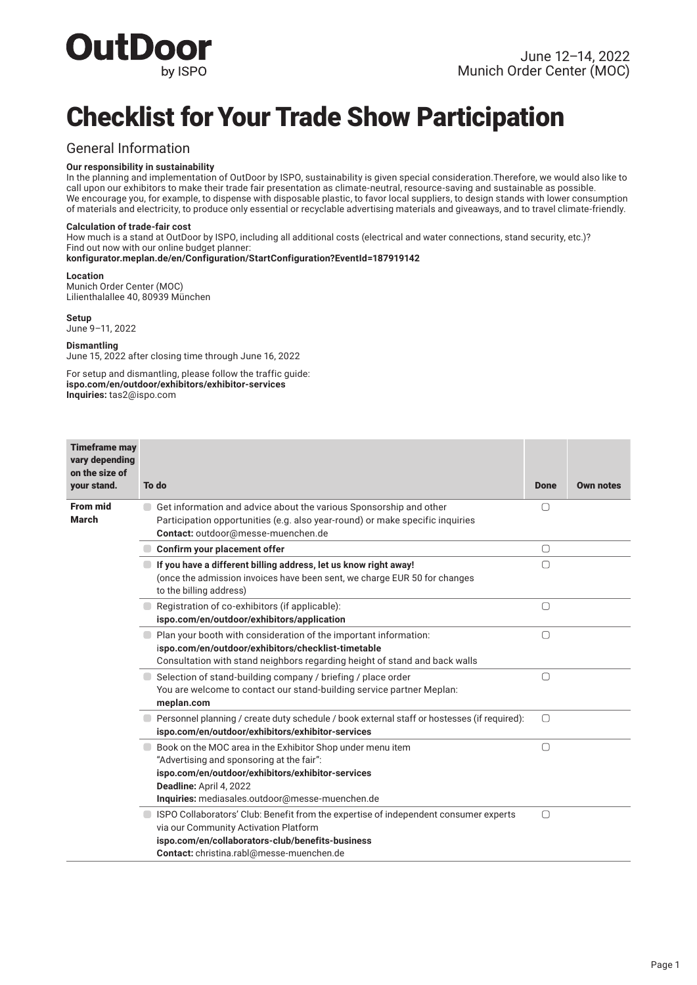

# Checklist for Your Trade Show Participation

### General Information

### **Our responsibility in sustainability**

In the planning and implementation of OutDoor by ISPO, sustainability is given special consideration. Therefore, we would also like to call upon our exhibitors to make their trade fair presentation as climate-neutral, resource-saving and sustainable as possible. We encourage you, for example, to dispense with disposable plastic, to favor local suppliers, to design stands with lower consumption of materials and electricity, to produce only essential or recyclable advertising materials and giveaways, and to travel climate-friendly.

#### **Calculation of trade-fair cost**

How much is a stand at OutDoor by ISPO, including all additional costs (electrical and water connections, stand security, etc.)? Find out now with our online budget planner:

**konfigurator.meplan.de/en/Configuration/StartConfiguration?EventId=187919142**

#### **Location**

Munich Order Center (MOC) Lilienthalallee 40, 80939 München

**Setup** June 9–11, 2022

#### **Dismantling**

June 15, 2022 after closing time through June 16, 2022

For setup and dismantling, please follow the traffic guide: **ispo.com/en/outdoor/exhibitors/exhibitor-services Inquiries:** tas2@ispo.com

| <b>Timeframe may</b><br>vary depending<br>on the size of |                                                                                                                                                                                                                                            |             |                  |
|----------------------------------------------------------|--------------------------------------------------------------------------------------------------------------------------------------------------------------------------------------------------------------------------------------------|-------------|------------------|
| your stand.                                              | To do                                                                                                                                                                                                                                      | <b>Done</b> | <b>Own notes</b> |
| <b>From mid</b><br><b>March</b>                          | Get information and advice about the various Sponsorship and other<br>Participation opportunities (e.g. also year-round) or make specific inquiries<br>Contact: outdoor@messe-muenchen.de                                                  | u           |                  |
|                                                          | Confirm your placement offer                                                                                                                                                                                                               | ∩           |                  |
|                                                          | If you have a different billing address, let us know right away!<br>(once the admission invoices have been sent, we charge EUR 50 for changes<br>to the billing address)                                                                   | $\bigcap$   |                  |
|                                                          | Registration of co-exhibitors (if applicable):<br>ispo.com/en/outdoor/exhibitors/application                                                                                                                                               | $\Box$      |                  |
|                                                          | Plan your booth with consideration of the important information:<br>ispo.com/en/outdoor/exhibitors/checklist-timetable<br>Consultation with stand neighbors regarding height of stand and back walls                                       | $\bigcap$   |                  |
|                                                          | $\Box$ Selection of stand-building company / briefing / place order<br>You are welcome to contact our stand-building service partner Meplan:<br>meplan.com                                                                                 | $\bigcap$   |                  |
|                                                          | © Personnel planning / create duty schedule / book external staff or hostesses (if required):<br>ispo.com/en/outdoor/exhibitors/exhibitor-services                                                                                         | $\bigcap$   |                  |
|                                                          | Book on the MOC area in the Exhibitor Shop under menu item<br>"Advertising and sponsoring at the fair":<br>ispo.com/en/outdoor/exhibitors/exhibitor-services<br>Deadline: April 4, 2022<br>Inquiries: mediasales.outdoor@messe-muenchen.de | $\Box$      |                  |
|                                                          | Since 15 ISPO Collaborators' Club: Benefit from the expertise of independent consumer experts<br>via our Community Activation Platform<br>ispo.com/en/collaborators-club/benefits-business<br>Contact: christina.rabl@messe-muenchen.de    | $\bigcap$   |                  |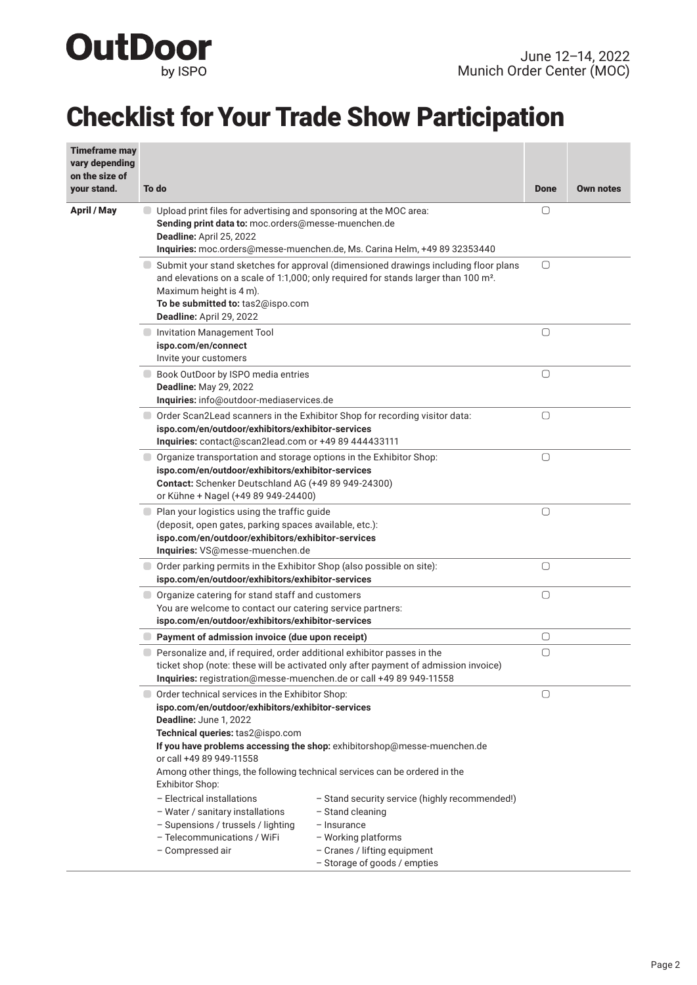

# Checklist for Your Trade Show Participation

| <b>Timeframe may</b><br>vary depending<br>on the size of |                                                                                                                                                                                                                                                                                                                                                          |                                                |             |                  |
|----------------------------------------------------------|----------------------------------------------------------------------------------------------------------------------------------------------------------------------------------------------------------------------------------------------------------------------------------------------------------------------------------------------------------|------------------------------------------------|-------------|------------------|
| your stand.                                              | To do                                                                                                                                                                                                                                                                                                                                                    |                                                | <b>Done</b> | <b>Own notes</b> |
| <b>April / May</b>                                       | Upload print files for advertising and sponsoring at the MOC area:<br>Sending print data to: moc.orders@messe-muenchen.de<br>Deadline: April 25, 2022<br>Inquiries: moc.orders@messe-muenchen.de, Ms. Carina Helm, +49 89 32353440                                                                                                                       |                                                | O           |                  |
|                                                          | Submit your stand sketches for approval (dimensioned drawings including floor plans<br>and elevations on a scale of 1:1,000; only required for stands larger than 100 m <sup>2</sup> .<br>Maximum height is 4 m).<br>To be submitted to: tas2@ispo.com<br>Deadline: April 29, 2022                                                                       |                                                | $\bigcirc$  |                  |
|                                                          | Invitation Management Tool<br>ispo.com/en/connect<br>Invite your customers                                                                                                                                                                                                                                                                               |                                                | $\bigcirc$  |                  |
|                                                          | Book OutDoor by ISPO media entries<br><b>Deadline: May 29, 2022</b><br>Inquiries: info@outdoor-mediaservices.de                                                                                                                                                                                                                                          |                                                | $\Box$      |                  |
|                                                          | $\Box$ Order Scan2Lead scanners in the Exhibitor Shop for recording visitor data:<br>ispo.com/en/outdoor/exhibitors/exhibitor-services<br>Inquiries: contact@scan2lead.com or +49 89 444433111                                                                                                                                                           |                                                | 0           |                  |
|                                                          | $\Box$ Organize transportation and storage options in the Exhibitor Shop:<br>ispo.com/en/outdoor/exhibitors/exhibitor-services<br>Contact: Schenker Deutschland AG (+49 89 949-24300)<br>or Kühne + Nagel (+49 89 949-24400)                                                                                                                             |                                                | $\Box$      |                  |
|                                                          | Plan your logistics using the traffic guide<br>(deposit, open gates, parking spaces available, etc.):<br>ispo.com/en/outdoor/exhibitors/exhibitor-services<br>Inquiries: VS@messe-muenchen.de                                                                                                                                                            |                                                | 0           |                  |
|                                                          | O Order parking permits in the Exhibitor Shop (also possible on site):<br>ispo.com/en/outdoor/exhibitors/exhibitor-services                                                                                                                                                                                                                              |                                                | $\bigcirc$  |                  |
|                                                          | O organize catering for stand staff and customers<br>You are welcome to contact our catering service partners:<br>ispo.com/en/outdoor/exhibitors/exhibitor-services                                                                                                                                                                                      |                                                | $\bigcirc$  |                  |
|                                                          | Payment of admission invoice (due upon receipt)                                                                                                                                                                                                                                                                                                          |                                                | 0           |                  |
|                                                          | Personalize and, if required, order additional exhibitor passes in the<br>ticket shop (note: these will be activated only after payment of admission invoice)<br>Inquiries: registration@messe-muenchen.de or call +49 89 949-11558                                                                                                                      |                                                | 0           |                  |
|                                                          | Order technical services in the Exhibitor Shop:<br>ispo.com/en/outdoor/exhibitors/exhibitor-services<br>Deadline: June 1, 2022<br>Technical queries: tas2@ispo.com<br>If you have problems accessing the shop: exhibitorshop@messe-muenchen.de<br>or call +49 89 949-11558<br>Among other things, the following technical services can be ordered in the |                                                | O           |                  |
|                                                          | Exhibitor Shop:<br>- Electrical installations<br>- Water / sanitary installations<br>- Stand cleaning<br>- Supensions / trussels / lighting<br>$-$ Insurance<br>- Telecommunications / WiFi<br>- Working platforms<br>- Compressed air<br>- Cranes / lifting equipment<br>- Storage of goods / empties                                                   | - Stand security service (highly recommended!) |             |                  |